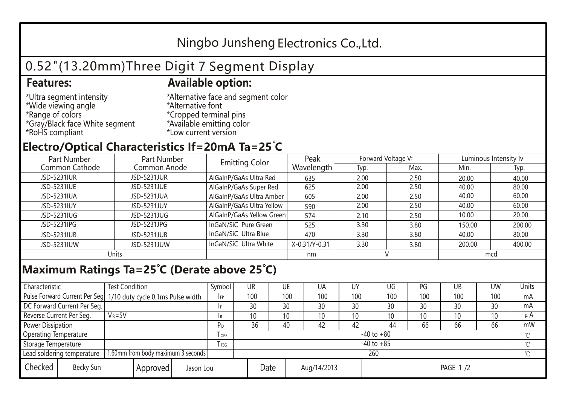## Ningbo Junsheng Electronics Co.,Ltd.

# 0.52"(13.20mm)Three Digit 7 Segment Display

### **Features: Available option:**

- \*Ultra segment intensity \*Wide viewing angle \*Range of colors \*Gray/Black face White segment \*RoHS compliant
- \*Alternative face and segment color \*Alternative font \*Cropped terminal pins \*Available emitting color \*Low current version

### **Electro/Optical Characteristics If=20mA Ta=25 C**

| Part Number    | Part Number        | <b>Emitting Color</b>     | Peak          | Forward Voltage VF |      | Luminous Intensity lv |        |  |
|----------------|--------------------|---------------------------|---------------|--------------------|------|-----------------------|--------|--|
| Common Cathode | Common Anode       |                           | Wavelength    | Typ.               | Max. | Min.                  | Typ.   |  |
| JSD-5231IUR    | <b>JSD-5231JUR</b> | AlGaInP/GaAs Ultra Red    | 635           | 2.00               | 2.50 | 20.00                 | 40.00  |  |
| JSD-5231IUE    | JSD-5231JUE        | AlGaInP/GaAs Super Red    | 625           | 2.00               | 2.50 | 40.00                 | 80.00  |  |
| JSD-5231IUA    | JSD-5231JUA        | AlGaInP/GaAs Ultra Amber  | 605           | 2.00               | 2.50 | 40.00                 | 60.00  |  |
| JSD-5231IUY    | JSD-5231JUY        | AlGaInP/GaAs Ultra Yellow | 590           | 2.00               | 2.50 | 40.00                 | 60.00  |  |
| JSD-5231IUG    | JSD-5231JUG        | AlGaInP/GaAs Yellow Green | 574           | 2.10               | 2.50 | 10.00                 | 20.00  |  |
| JSD-5231IPG    | JSD-5231JPG        | InGaN/SiC Pure Green      | 525           | 3.30               | 3.80 | 150.00                | 200.00 |  |
| JSD-5231IUB    | JSD-5231JUB        | InGaN/SiC Ultra Blue      | 470           | 3.30               | 3.80 | 40.00                 | 80.00  |  |
| JSD-5231IUW    | JSD-5231JUW        | InGaN/SiC Ultra White     | X-0.31/Y-0.31 | 3.30               | 3.80 | 200.00                | 400.00 |  |
| Units          |                    |                           | nm            |                    |      | mcd                   |        |  |

#### **Maximum Ratings Ta=25°C (Derate above 25°C)**

| Characteristic               |                                    | <b>Test Condition</b><br>Symbol                                 |                |         | UR              | UE |             | UA  | UΥ              | UG  | PG  | UB       | <b>UW</b> | Units   |
|------------------------------|------------------------------------|-----------------------------------------------------------------|----------------|---------|-----------------|----|-------------|-----|-----------------|-----|-----|----------|-----------|---------|
|                              |                                    | Pulse Forward Current Per Seg 1/10 duty cycle 0.1ms Pulse width |                |         | 100             |    | 100         | 100 | 100             | 100 | 100 | 100      | 100       | mA      |
| DC Forward Current Per Seg.  |                                    |                                                                 |                |         | 30              | 30 |             | 30  | 30              | 30  | 30  | 30       | 30        | mA      |
| Reverse Current Per Seg.     | $V_R = 5V$                         |                                                                 |                | I R     | 10 <sup>1</sup> | 10 |             | 10  | 10              | 10  | 10  | 10       | 10        | $\mu$ A |
| <b>Power Dissipation</b>     |                                    |                                                                 |                |         | 36              | 40 |             | 42  | 42              | 44  | 66  | 66       | 66        | mW      |
| <b>Operating Temperature</b> |                                    |                                                                 |                | $I$ OPR | $-40$ to $+80$  |    |             |     |                 |     |     |          |           |         |
| Storage Temperature          |                                    | l tsg                                                           | $-40$ to $+85$ |         |                 |    |             |     |                 |     |     | $\gamma$ |           |         |
| Lead soldering temperature   |                                    | 1.60mm from body maximum 3 seconds                              |                |         | 260             |    |             |     |                 |     |     |          |           |         |
| Checked                      | Becky Sun<br>Approved<br>Jason Lou |                                                                 |                | Date    |                 |    | Aug/14/2013 |     | <b>PAGE 1/2</b> |     |     |          |           |         |